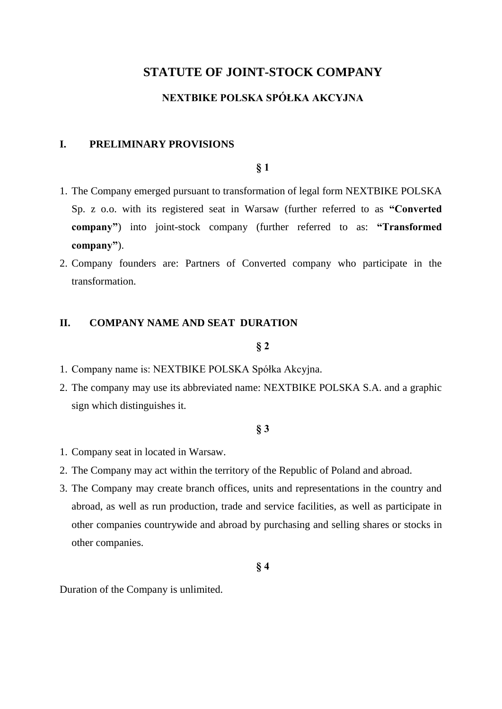# **STATUTE OF JOINT-STOCK COMPANY**

# **NEXTBIKE POLSKA SPÓŁKA AKCYJNA**

#### **I. PRELIMINARY PROVISIONS**

#### **§ 1**

- 1. The Company emerged pursuant to transformation of legal form NEXTBIKE POLSKA Sp. z o.o. with its registered seat in Warsaw (further referred to as **"Converted company"**) into joint-stock company (further referred to as: **"Transformed company"**).
- 2. Company founders are: Partners of Converted company who participate in the transformation.

# **II. COMPANY NAME AND SEAT DURATION**

#### **§ 2**

- 1. Company name is: NEXTBIKE POLSKA Spółka Akcyjna.
- 2. The company may use its abbreviated name: NEXTBIKE POLSKA S.A. and a graphic sign which distinguishes it.

# **§ 3**

- 1. Company seat in located in Warsaw.
- 2. The Company may act within the territory of the Republic of Poland and abroad.
- 3. The Company may create branch offices, units and representations in the country and abroad, as well as run production, trade and service facilities, as well as participate in other companies countrywide and abroad by purchasing and selling shares or stocks in other companies.

**§ 4**

Duration of the Company is unlimited.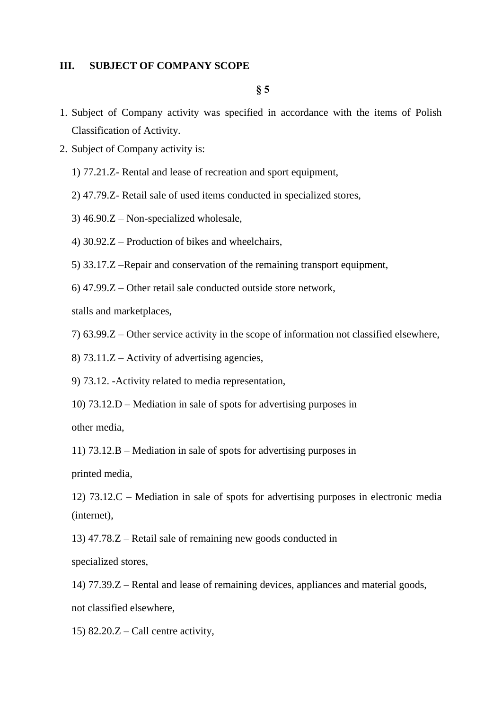# **III. SUBJECT OF COMPANY SCOPE**

**§ 5**

- 1. Subject of Company activity was specified in accordance with the items of Polish Classification of Activity.
- 2. Subject of Company activity is:
	- 1) 77.21.Z- Rental and lease of recreation and sport equipment,
	- 2) 47.79.Z- Retail sale of used items conducted in specialized stores,
	- 3) 46.90.Z Non-specialized wholesale,
	- 4) 30.92.Z Production of bikes and wheelchairs,
	- 5) 33.17.Z –Repair and conservation of the remaining transport equipment,
	- 6) 47.99.Z Other retail sale conducted outside store network,

stalls and marketplaces,

7) 63.99.Z – Other service activity in the scope of information not classified elsewhere,

8) 73.11.Z – Activity of advertising agencies,

9) 73.12. -Activity related to media representation,

10) 73.12.D – Mediation in sale of spots for advertising purposes in

other media,

11) 73.12.B – Mediation in sale of spots for advertising purposes in

printed media,

12) 73.12.C – Mediation in sale of spots for advertising purposes in electronic media (internet),

13) 47.78.Z – Retail sale of remaining new goods conducted in

specialized stores,

14) 77.39.Z – Rental and lease of remaining devices, appliances and material goods,

not classified elsewhere,

15)  $82.20.Z -$ Call centre activity,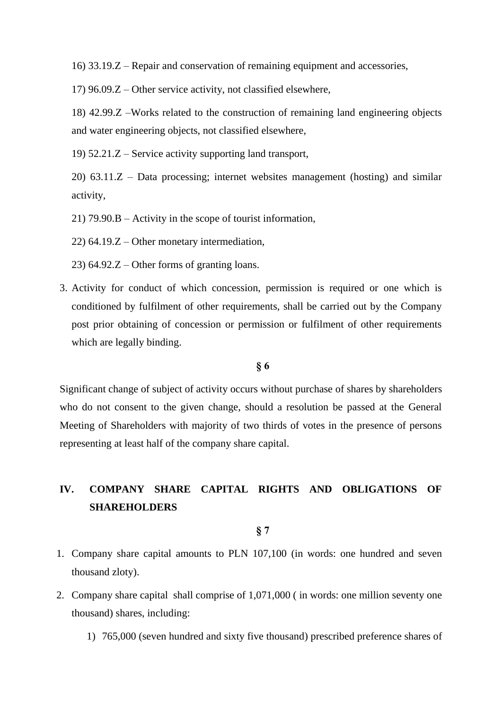16) 33.19.Z – Repair and conservation of remaining equipment and accessories,

17) 96.09.Z – Other service activity, not classified elsewhere,

18) 42.99.Z –Works related to the construction of remaining land engineering objects and water engineering objects, not classified elsewhere,

19) 52.21.Z – Service activity supporting land transport,

20) 63.11.Z – Data processing; internet websites management (hosting) and similar activity,

21) 79.90.B – Activity in the scope of tourist information,

22) 64.19.Z – Other monetary intermediation,

23) 64.92.Z – Other forms of granting loans.

3. Activity for conduct of which concession, permission is required or one which is conditioned by fulfilment of other requirements, shall be carried out by the Company post prior obtaining of concession or permission or fulfilment of other requirements which are legally binding.

# **§ 6**

Significant change of subject of activity occurs without purchase of shares by shareholders who do not consent to the given change, should a resolution be passed at the General Meeting of Shareholders with majority of two thirds of votes in the presence of persons representing at least half of the company share capital.

# **IV. COMPANY SHARE CAPITAL RIGHTS AND OBLIGATIONS OF SHAREHOLDERS**

- 1. Company share capital amounts to PLN 107,100 (in words: one hundred and seven thousand zloty).
- 2. Company share capital shall comprise of 1,071,000 ( in words: one million seventy one thousand) shares, including:
	- 1) 765,000 (seven hundred and sixty five thousand) prescribed preference shares of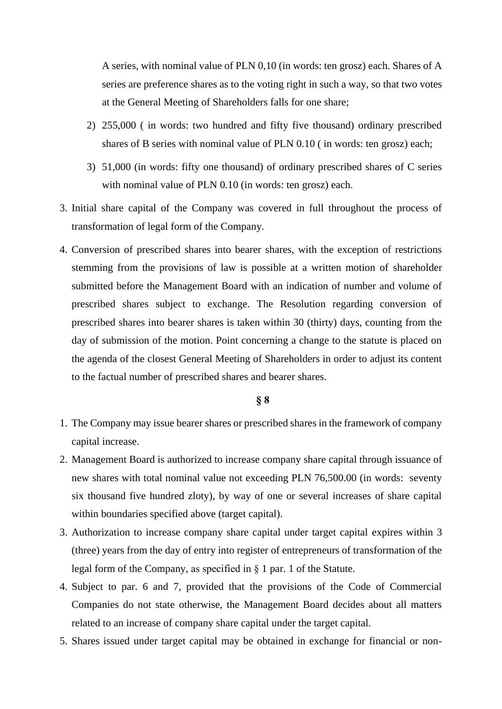A series, with nominal value of PLN 0,10 (in words: ten grosz) each. Shares of A series are preference shares as to the voting right in such a way, so that two votes at the General Meeting of Shareholders falls for one share;

- 2) 255,000 ( in words: two hundred and fifty five thousand) ordinary prescribed shares of B series with nominal value of PLN 0.10 ( in words: ten grosz) each;
- 3) 51,000 (in words: fifty one thousand) of ordinary prescribed shares of C series with nominal value of PLN 0.10 (in words: ten grosz) each.
- 3. Initial share capital of the Company was covered in full throughout the process of transformation of legal form of the Company.
- 4. Conversion of prescribed shares into bearer shares, with the exception of restrictions stemming from the provisions of law is possible at a written motion of shareholder submitted before the Management Board with an indication of number and volume of prescribed shares subject to exchange. The Resolution regarding conversion of prescribed shares into bearer shares is taken within 30 (thirty) days, counting from the day of submission of the motion. Point concerning a change to the statute is placed on the agenda of the closest General Meeting of Shareholders in order to adjust its content to the factual number of prescribed shares and bearer shares.

- 1. The Company may issue bearer shares or prescribed shares in the framework of company capital increase.
- 2. Management Board is authorized to increase company share capital through issuance of new shares with total nominal value not exceeding PLN 76,500.00 (in words: seventy six thousand five hundred zloty), by way of one or several increases of share capital within boundaries specified above (target capital).
- 3. Authorization to increase company share capital under target capital expires within 3 (three) years from the day of entry into register of entrepreneurs of transformation of the legal form of the Company, as specified in § 1 par. 1 of the Statute.
- 4. Subject to par. 6 and 7, provided that the provisions of the Code of Commercial Companies do not state otherwise, the Management Board decides about all matters related to an increase of company share capital under the target capital.
- 5. Shares issued under target capital may be obtained in exchange for financial or non-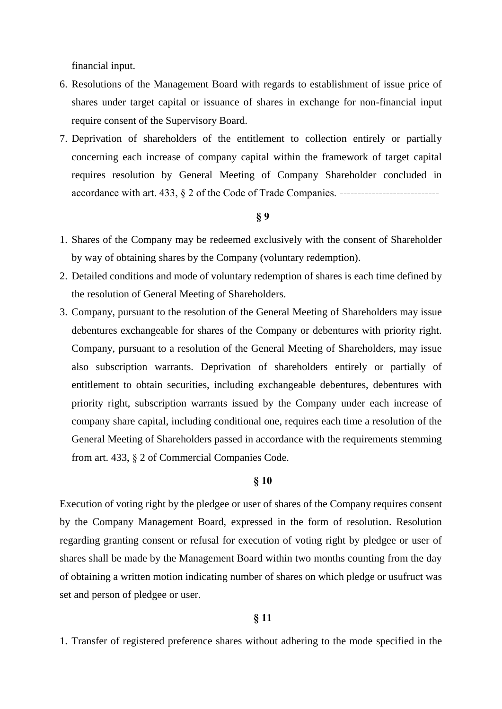financial input.

- 6. Resolutions of the Management Board with regards to establishment of issue price of shares under target capital or issuance of shares in exchange for non-financial input require consent of the Supervisory Board.
- 7. Deprivation of shareholders of the entitlement to collection entirely or partially concerning each increase of company capital within the framework of target capital requires resolution by General Meeting of Company Shareholder concluded in accordance with art. 433, § 2 of the Code of Trade Companies.

# **§ 9**

- 1. Shares of the Company may be redeemed exclusively with the consent of Shareholder by way of obtaining shares by the Company (voluntary redemption).
- 2. Detailed conditions and mode of voluntary redemption of shares is each time defined by the resolution of General Meeting of Shareholders.
- 3. Company, pursuant to the resolution of the General Meeting of Shareholders may issue debentures exchangeable for shares of the Company or debentures with priority right. Company, pursuant to a resolution of the General Meeting of Shareholders, may issue also subscription warrants. Deprivation of shareholders entirely or partially of entitlement to obtain securities, including exchangeable debentures, debentures with priority right, subscription warrants issued by the Company under each increase of company share capital, including conditional one, requires each time a resolution of the General Meeting of Shareholders passed in accordance with the requirements stemming from art. 433, § 2 of Commercial Companies Code.

# **§ 10**

Execution of voting right by the pledgee or user of shares of the Company requires consent by the Company Management Board, expressed in the form of resolution. Resolution regarding granting consent or refusal for execution of voting right by pledgee or user of shares shall be made by the Management Board within two months counting from the day of obtaining a written motion indicating number of shares on which pledge or usufruct was set and person of pledgee or user.

# **§ 11**

1. Transfer of registered preference shares without adhering to the mode specified in the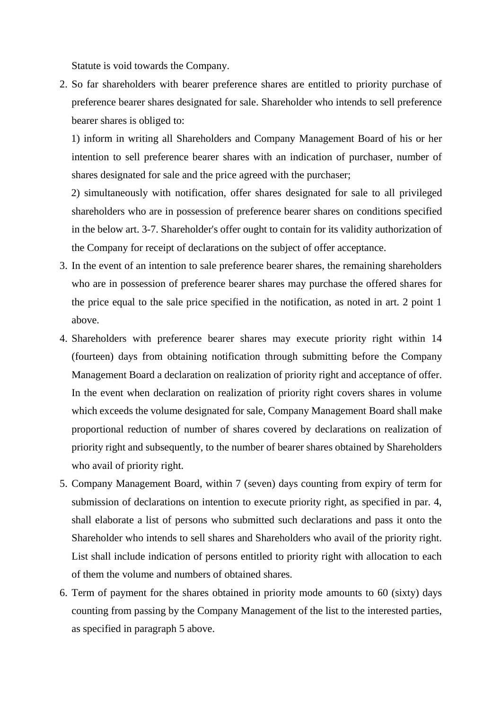Statute is void towards the Company.

2. So far shareholders with bearer preference shares are entitled to priority purchase of preference bearer shares designated for sale. Shareholder who intends to sell preference bearer shares is obliged to:

1) inform in writing all Shareholders and Company Management Board of his or her intention to sell preference bearer shares with an indication of purchaser, number of shares designated for sale and the price agreed with the purchaser;

2) simultaneously with notification, offer shares designated for sale to all privileged shareholders who are in possession of preference bearer shares on conditions specified in the below art. 3-7. Shareholder's offer ought to contain for its validity authorization of the Company for receipt of declarations on the subject of offer acceptance.

- 3. In the event of an intention to sale preference bearer shares, the remaining shareholders who are in possession of preference bearer shares may purchase the offered shares for the price equal to the sale price specified in the notification, as noted in art. 2 point 1 above.
- 4. Shareholders with preference bearer shares may execute priority right within 14 (fourteen) days from obtaining notification through submitting before the Company Management Board a declaration on realization of priority right and acceptance of offer. In the event when declaration on realization of priority right covers shares in volume which exceeds the volume designated for sale, Company Management Board shall make proportional reduction of number of shares covered by declarations on realization of priority right and subsequently, to the number of bearer shares obtained by Shareholders who avail of priority right.
- 5. Company Management Board, within 7 (seven) days counting from expiry of term for submission of declarations on intention to execute priority right, as specified in par. 4, shall elaborate a list of persons who submitted such declarations and pass it onto the Shareholder who intends to sell shares and Shareholders who avail of the priority right. List shall include indication of persons entitled to priority right with allocation to each of them the volume and numbers of obtained shares.
- 6. Term of payment for the shares obtained in priority mode amounts to 60 (sixty) days counting from passing by the Company Management of the list to the interested parties, as specified in paragraph 5 above.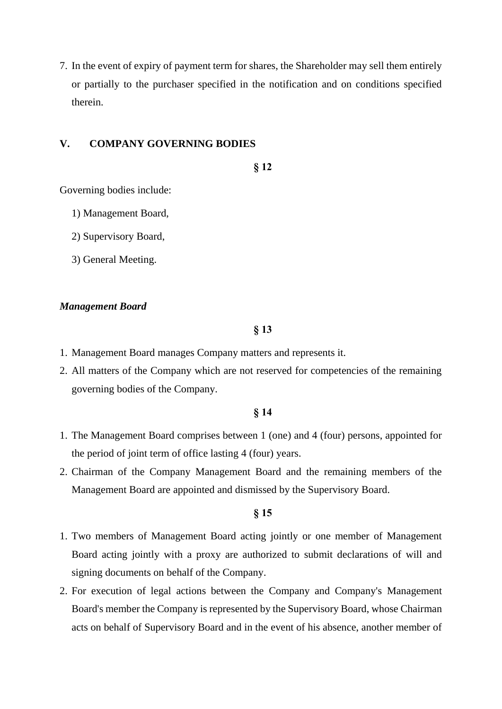7. In the event of expiry of payment term for shares, the Shareholder may sell them entirely or partially to the purchaser specified in the notification and on conditions specified therein.

# **V. COMPANY GOVERNING BODIES**

**§ 12**

Governing bodies include:

- 1) Management Board,
- 2) Supervisory Board,
- 3) General Meeting.

#### *Management Board*

# **§ 13**

- 1. Management Board manages Company matters and represents it.
- 2. All matters of the Company which are not reserved for competencies of the remaining governing bodies of the Company.

# **§ 14**

- 1. The Management Board comprises between 1 (one) and 4 (four) persons, appointed for the period of joint term of office lasting 4 (four) years.
- 2. Chairman of the Company Management Board and the remaining members of the Management Board are appointed and dismissed by the Supervisory Board.

- 1. Two members of Management Board acting jointly or one member of Management Board acting jointly with a proxy are authorized to submit declarations of will and signing documents on behalf of the Company.
- 2. For execution of legal actions between the Company and Company's Management Board's member the Company is represented by the Supervisory Board, whose Chairman acts on behalf of Supervisory Board and in the event of his absence, another member of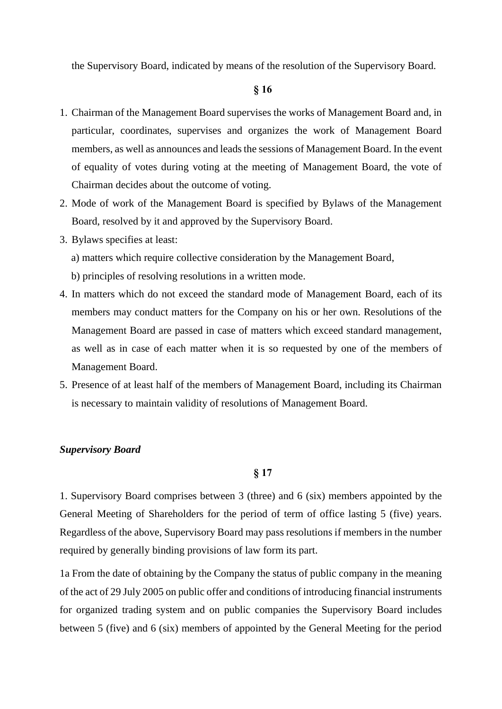the Supervisory Board, indicated by means of the resolution of the Supervisory Board.

# **§ 16**

- 1. Chairman of the Management Board supervises the works of Management Board and, in particular, coordinates, supervises and organizes the work of Management Board members, as well as announces and leads the sessions of Management Board. In the event of equality of votes during voting at the meeting of Management Board, the vote of Chairman decides about the outcome of voting.
- 2. Mode of work of the Management Board is specified by Bylaws of the Management Board, resolved by it and approved by the Supervisory Board.
- 3. Bylaws specifies at least:
	- a) matters which require collective consideration by the Management Board,
	- b) principles of resolving resolutions in a written mode.
- 4. In matters which do not exceed the standard mode of Management Board, each of its members may conduct matters for the Company on his or her own. Resolutions of the Management Board are passed in case of matters which exceed standard management, as well as in case of each matter when it is so requested by one of the members of Management Board.
- 5. Presence of at least half of the members of Management Board, including its Chairman is necessary to maintain validity of resolutions of Management Board.

#### *Supervisory Board*

# **§ 17**

1. Supervisory Board comprises between 3 (three) and 6 (six) members appointed by the General Meeting of Shareholders for the period of term of office lasting 5 (five) years. Regardless of the above, Supervisory Board may pass resolutions if members in the number required by generally binding provisions of law form its part.

1a From the date of obtaining by the Company the status of public company in the meaning of the act of 29 July 2005 on public offer and conditions of introducing financial instruments for organized trading system and on public companies the Supervisory Board includes between 5 (five) and 6 (six) members of appointed by the General Meeting for the period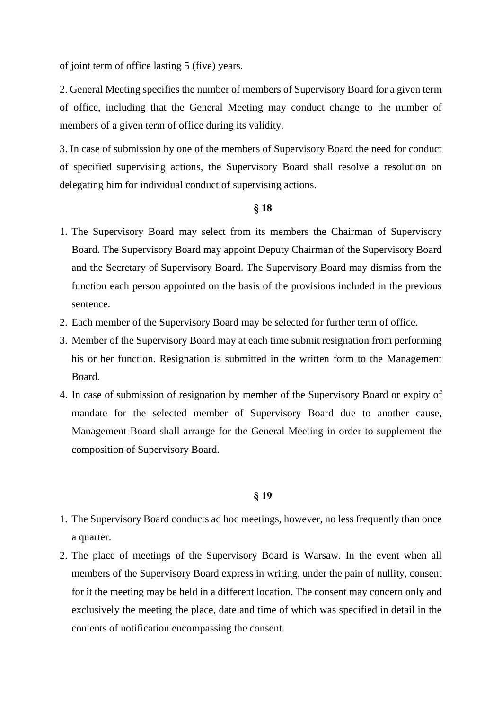of joint term of office lasting 5 (five) years.

2. General Meeting specifies the number of members of Supervisory Board for a given term of office, including that the General Meeting may conduct change to the number of members of a given term of office during its validity.

3. In case of submission by one of the members of Supervisory Board the need for conduct of specified supervising actions, the Supervisory Board shall resolve a resolution on delegating him for individual conduct of supervising actions.

# **§ 18**

- 1. The Supervisory Board may select from its members the Chairman of Supervisory Board. The Supervisory Board may appoint Deputy Chairman of the Supervisory Board and the Secretary of Supervisory Board. The Supervisory Board may dismiss from the function each person appointed on the basis of the provisions included in the previous sentence.
- 2. Each member of the Supervisory Board may be selected for further term of office.
- 3. Member of the Supervisory Board may at each time submit resignation from performing his or her function. Resignation is submitted in the written form to the Management Board.
- 4. In case of submission of resignation by member of the Supervisory Board or expiry of mandate for the selected member of Supervisory Board due to another cause, Management Board shall arrange for the General Meeting in order to supplement the composition of Supervisory Board.

- 1. The Supervisory Board conducts ad hoc meetings, however, no less frequently than once a quarter.
- 2. The place of meetings of the Supervisory Board is Warsaw. In the event when all members of the Supervisory Board express in writing, under the pain of nullity, consent for it the meeting may be held in a different location. The consent may concern only and exclusively the meeting the place, date and time of which was specified in detail in the contents of notification encompassing the consent.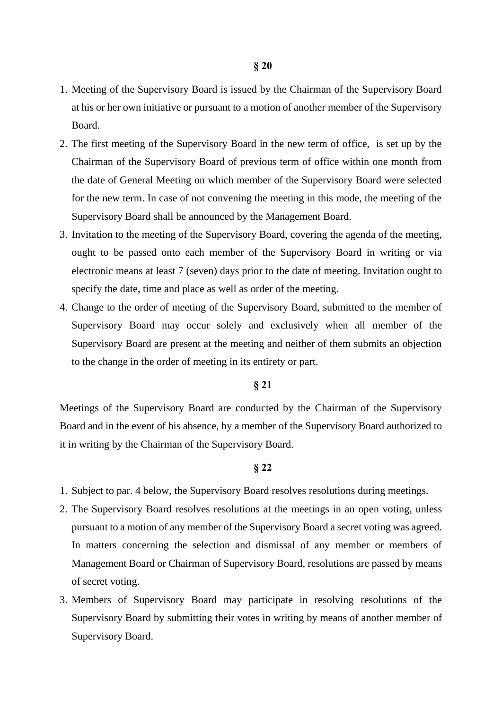- 1. Meeting of the Supervisory Board is issued by the Chairman of the Supervisory Board at his or her own initiative or pursuant to a motion of another member of the Supervisory Board.
- 2. The first meeting of the Supervisory Board in the new term of office, is set up by the Chairman of the Supervisory Board of previous term of office within one month from the date of General Meeting on which member of the Supervisory Board were selected for the new term. In case of not convening the meeting in this mode, the meeting of the Supervisory Board shall be announced by the Management Board.
- 3. Invitation to the meeting of the Supervisory Board, covering the agenda of the meeting, ought to be passed onto each member of the Supervisory Board in writing or via electronic means at least 7 (seven) days prior to the date of meeting. Invitation ought to specify the date, time and place as well as order of the meeting.
- 4. Change to the order of meeting of the Supervisory Board, submitted to the member of Supervisory Board may occur solely and exclusively when all member of the Supervisory Board are present at the meeting and neither of them submits an objection to the change in the order of meeting in its entirety or part.

# **§ 21**

Meetings of the Supervisory Board are conducted by the Chairman of the Supervisory Board and in the event of his absence, by a member of the Supervisory Board authorized to it in writing by the Chairman of the Supervisory Board.

- 1. Subject to par. 4 below, the Supervisory Board resolves resolutions during meetings.
- 2. The Supervisory Board resolves resolutions at the meetings in an open voting, unless pursuant to a motion of any member of the Supervisory Board a secret voting was agreed. In matters concerning the selection and dismissal of any member or members of Management Board or Chairman of Supervisory Board, resolutions are passed by means of secret voting.
- 3. Members of Supervisory Board may participate in resolving resolutions of the Supervisory Board by submitting their votes in writing by means of another member of Supervisory Board.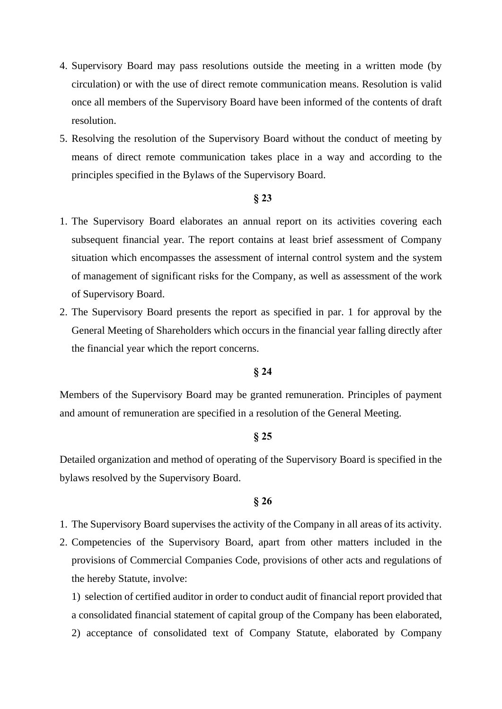- 4. Supervisory Board may pass resolutions outside the meeting in a written mode (by circulation) or with the use of direct remote communication means. Resolution is valid once all members of the Supervisory Board have been informed of the contents of draft resolution.
- 5. Resolving the resolution of the Supervisory Board without the conduct of meeting by means of direct remote communication takes place in a way and according to the principles specified in the Bylaws of the Supervisory Board.

# **§ 23**

- 1. The Supervisory Board elaborates an annual report on its activities covering each subsequent financial year. The report contains at least brief assessment of Company situation which encompasses the assessment of internal control system and the system of management of significant risks for the Company, as well as assessment of the work of Supervisory Board.
- 2. The Supervisory Board presents the report as specified in par. 1 for approval by the General Meeting of Shareholders which occurs in the financial year falling directly after the financial year which the report concerns.

# **§ 24**

Members of the Supervisory Board may be granted remuneration. Principles of payment and amount of remuneration are specified in a resolution of the General Meeting.

# **§ 25**

Detailed organization and method of operating of the Supervisory Board is specified in the bylaws resolved by the Supervisory Board.

#### **§ 26**

- 1. The Supervisory Board supervises the activity of the Company in all areas of its activity.
- 2. Competencies of the Supervisory Board, apart from other matters included in the provisions of Commercial Companies Code, provisions of other acts and regulations of the hereby Statute, involve:

1) selection of certified auditor in order to conduct audit of financial report provided that a consolidated financial statement of capital group of the Company has been elaborated, 2) acceptance of consolidated text of Company Statute, elaborated by Company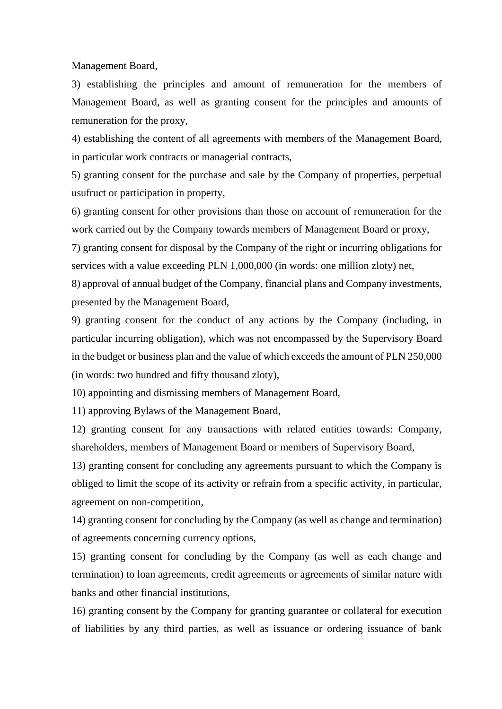Management Board,

3) establishing the principles and amount of remuneration for the members of Management Board, as well as granting consent for the principles and amounts of remuneration for the proxy,

4) establishing the content of all agreements with members of the Management Board, in particular work contracts or managerial contracts,

5) granting consent for the purchase and sale by the Company of properties, perpetual usufruct or participation in property,

6) granting consent for other provisions than those on account of remuneration for the work carried out by the Company towards members of Management Board or proxy,

7) granting consent for disposal by the Company of the right or incurring obligations for services with a value exceeding PLN 1,000,000 (in words: one million zloty) net,

8) approval of annual budget of the Company, financial plans and Company investments, presented by the Management Board,

9) granting consent for the conduct of any actions by the Company (including, in particular incurring obligation), which was not encompassed by the Supervisory Board in the budget or business plan and the value of which exceeds the amount of PLN 250,000 (in words: two hundred and fifty thousand zloty),

10) appointing and dismissing members of Management Board,

11) approving Bylaws of the Management Board,

12) granting consent for any transactions with related entities towards: Company, shareholders, members of Management Board or members of Supervisory Board,

13) granting consent for concluding any agreements pursuant to which the Company is obliged to limit the scope of its activity or refrain from a specific activity, in particular, agreement on non-competition,

14) granting consent for concluding by the Company (as well as change and termination) of agreements concerning currency options,

15) granting consent for concluding by the Company (as well as each change and termination) to loan agreements, credit agreements or agreements of similar nature with banks and other financial institutions,

16) granting consent by the Company for granting guarantee or collateral for execution of liabilities by any third parties, as well as issuance or ordering issuance of bank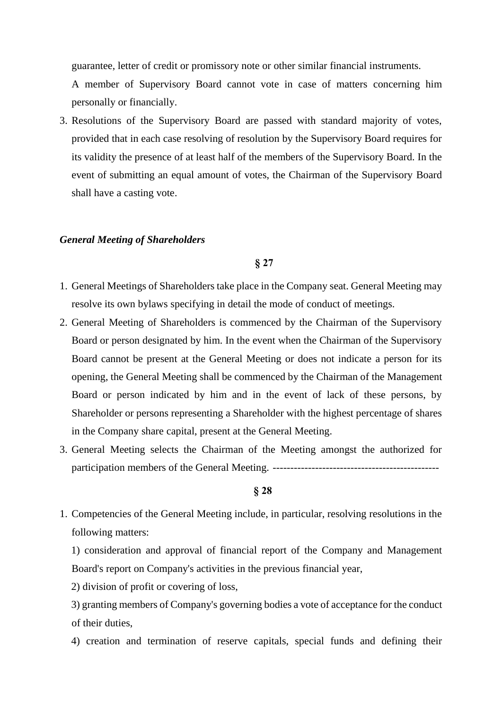guarantee, letter of credit or promissory note or other similar financial instruments.

A member of Supervisory Board cannot vote in case of matters concerning him personally or financially.

3. Resolutions of the Supervisory Board are passed with standard majority of votes, provided that in each case resolving of resolution by the Supervisory Board requires for its validity the presence of at least half of the members of the Supervisory Board. In the event of submitting an equal amount of votes, the Chairman of the Supervisory Board shall have a casting vote.

# *General Meeting of Shareholders*

#### **§ 27**

- 1. General Meetings of Shareholders take place in the Company seat. General Meeting may resolve its own bylaws specifying in detail the mode of conduct of meetings.
- 2. General Meeting of Shareholders is commenced by the Chairman of the Supervisory Board or person designated by him. In the event when the Chairman of the Supervisory Board cannot be present at the General Meeting or does not indicate a person for its opening, the General Meeting shall be commenced by the Chairman of the Management Board or person indicated by him and in the event of lack of these persons, by Shareholder or persons representing a Shareholder with the highest percentage of shares in the Company share capital, present at the General Meeting.
- 3. General Meeting selects the Chairman of the Meeting amongst the authorized for participation members of the General Meeting. -----------------------------------------------

#### **§ 28**

1. Competencies of the General Meeting include, in particular, resolving resolutions in the following matters:

1) consideration and approval of financial report of the Company and Management Board's report on Company's activities in the previous financial year,

2) division of profit or covering of loss,

3) granting members of Company's governing bodies a vote of acceptance for the conduct of their duties,

4) creation and termination of reserve capitals, special funds and defining their